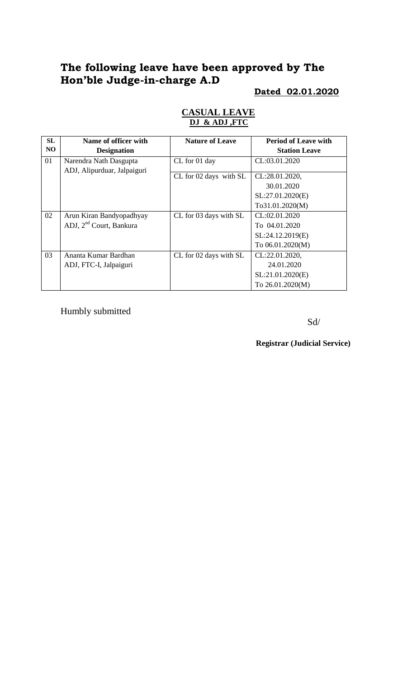# **The following leave have been approved by The Hon'ble Judge-in-charge A.D**

### **Dated 02.01.2020**

| <b>SL</b> | Name of officer with                | <b>Nature of Leave</b> | <b>Period of Leave with</b> |
|-----------|-------------------------------------|------------------------|-----------------------------|
| NO        | <b>Designation</b>                  |                        | <b>Station Leave</b>        |
| 01        | Narendra Nath Dasgupta              | CL for 01 day          | CL:03.01.2020               |
|           | ADJ, Alipurduar, Jalpaiguri         |                        |                             |
|           |                                     | CL for 02 days with SL | CL:28.01.2020,              |
|           |                                     |                        | 30.01.2020                  |
|           |                                     |                        | SL:27.01.2020(E)            |
|           |                                     |                        | To31.01.2020(M)             |
| 02        | Arun Kiran Bandyopadhyay            | CL for 03 days with SL | CL:02.01.2020               |
|           | ADJ, 2 <sup>nd</sup> Court, Bankura |                        | To 04.01.2020               |
|           |                                     |                        | SL:24.12.2019(E)            |
|           |                                     |                        | To 06.01.2020(M)            |
| 03        | Ananta Kumar Bardhan                | CL for 02 days with SL | CL:22.01.2020,              |
|           | ADJ, FTC-I, Jalpaiguri              |                        | 24.01.2020                  |
|           |                                     |                        | SL:21.01.2020(E)            |
|           |                                     |                        | To 26.01.2020(M)            |

### **CASUAL LEAVE DJ & ADJ ,FTC**

Humbly submitted

Sd/

**Registrar (Judicial Service)**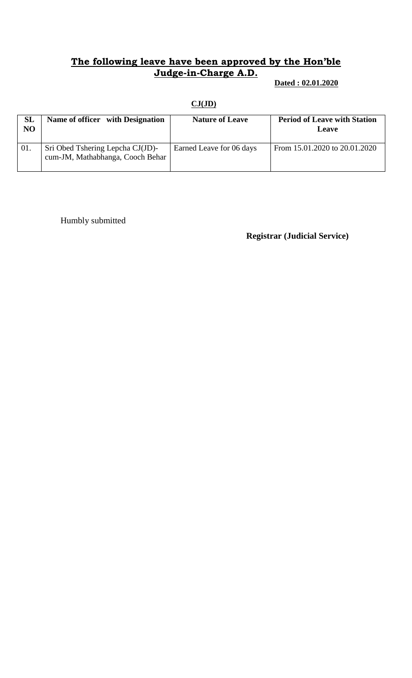### **The following leave have been approved by the Hon'ble Judge-in-Charge A.D.**

 **Dated : 02.01.2020**

### **CJ(JD)**

| SL<br>NO | Name of officer with Designation                                     | <b>Nature of Leave</b>   | <b>Period of Leave with Station</b><br>Leave |
|----------|----------------------------------------------------------------------|--------------------------|----------------------------------------------|
| 01.      | Sri Obed Tshering Lepcha CJ(JD)-<br>cum-JM, Mathabhanga, Cooch Behar | Earned Leave for 06 days | From 15.01.2020 to 20.01.2020                |

Humbly submitted

#### **Registrar (Judicial Service)**